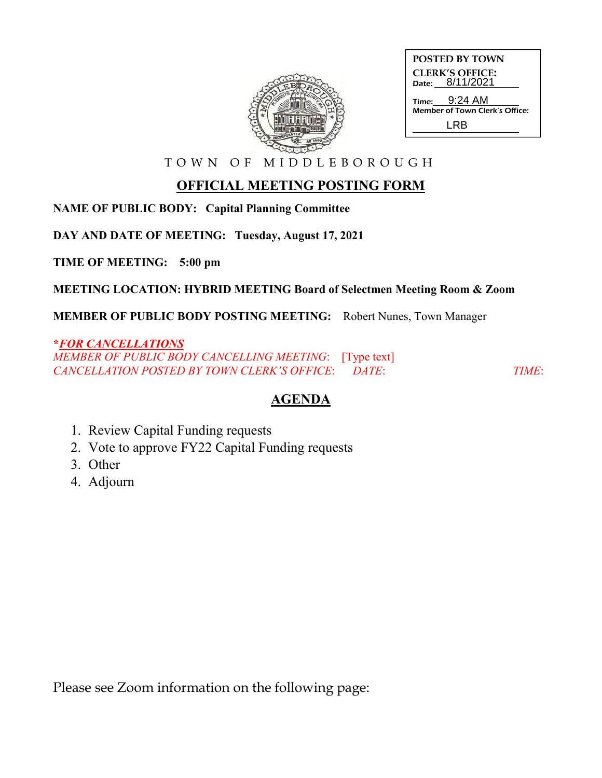

| <b>POSTED BY TOWN</b>                           |
|-------------------------------------------------|
| <b>CLERK'S OFFICE:</b><br>Date: 8/11/2021       |
| Time: 9:24 AM<br>Member of Town Clerk's Office: |
| I RR                                            |

T O W N O F M I D D L E B O R O U G H

## **OFFICIAL MEETING POSTING FORM**

**NAME OF PUBLIC BODY: Capital Planning Committee**

**DAY AND DATE OF MEETING: Tuesday, August 17, 2021**

**TIME OF MEETING: 5:00 pm**

**MEETING LOCATION: HYBRID MEETING Board of Selectmen Meeting Room & Zoom**

**MEMBER OF PUBLIC BODY POSTING MEETING:** Robert Nunes, Town Manager

## **\****FOR CANCELLATIONS*

*MEMBER OF PUBLIC BODY CANCELLING MEETING*: [Type text] *CANCELLATION POSTED BY TOWN CLERK'S OFFICE*: *DATE*: *TIME*:

## **AGENDA**

- 1. Review Capital Funding requests
- 2. Vote to approve FY22 Capital Funding requests
- 3. Other
- 4. Adjourn

Please see Zoom information on the following page: